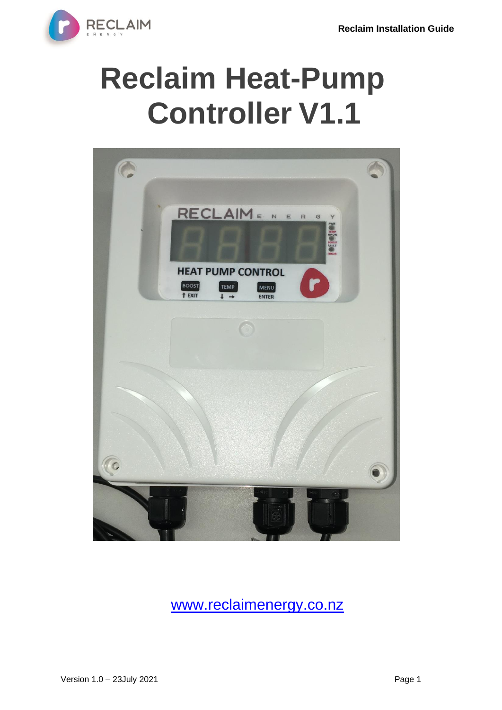

# **Reclaim Heat-Pump Controller V1.1**



[www.reclaimenergy.co.nz](http://www.reclaimenergy.co.nz/)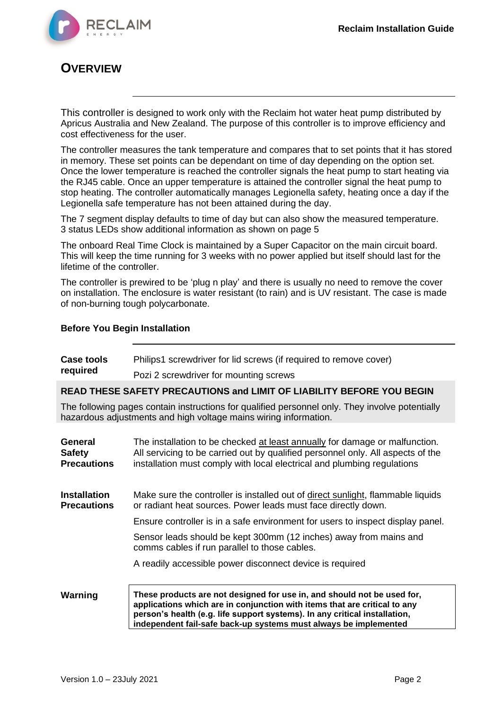

## **OVERVIEW**

This controller is designed to work only with the Reclaim hot water heat pump distributed by Apricus Australia and New Zealand. The purpose of this controller is to improve efficiency and cost effectiveness for the user.

The controller measures the tank temperature and compares that to set points that it has stored in memory. These set points can be dependant on time of day depending on the option set. Once the lower temperature is reached the controller signals the heat pump to start heating via the RJ45 cable. Once an upper temperature is attained the controller signal the heat pump to stop heating. The controller automatically manages Legionella safety, heating once a day if the Legionella safe temperature has not been attained during the day.

The 7 segment display defaults to time of day but can also show the measured temperature. 3 status LEDs show additional information as shown on page 5

The onboard Real Time Clock is maintained by a Super Capacitor on the main circuit board. This will keep the time running for 3 weeks with no power applied but itself should last for the lifetime of the controller.

The controller is prewired to be 'plug n play' and there is usually no need to remove the cover on installation. The enclosure is water resistant (to rain) and is UV resistant. The case is made of non-burning tough polycarbonate.

#### **Before You Begin Installation**

| <b>Case tools</b>                              | Philips1 screwdriver for lid screws (if required to remove cover)                                                                                                                                                                                                                                      |
|------------------------------------------------|--------------------------------------------------------------------------------------------------------------------------------------------------------------------------------------------------------------------------------------------------------------------------------------------------------|
| required                                       | Pozi 2 screwdriver for mounting screws                                                                                                                                                                                                                                                                 |
|                                                | READ THESE SAFETY PRECAUTIONS and LIMIT OF LIABILITY BEFORE YOU BEGIN                                                                                                                                                                                                                                  |
|                                                | The following pages contain instructions for qualified personnel only. They involve potentially<br>hazardous adjustments and high voltage mains wiring information.                                                                                                                                    |
| General<br><b>Safety</b><br><b>Precautions</b> | The installation to be checked at least annually for damage or malfunction.<br>All servicing to be carried out by qualified personnel only. All aspects of the<br>installation must comply with local electrical and plumbing regulations                                                              |
| <b>Installation</b><br><b>Precautions</b>      | Make sure the controller is installed out of direct sunlight, flammable liquids<br>or radiant heat sources. Power leads must face directly down.                                                                                                                                                       |
|                                                | Ensure controller is in a safe environment for users to inspect display panel.                                                                                                                                                                                                                         |
|                                                | Sensor leads should be kept 300mm (12 inches) away from mains and<br>comms cables if run parallel to those cables.                                                                                                                                                                                     |
|                                                | A readily accessible power disconnect device is required                                                                                                                                                                                                                                               |
| Warning                                        | These products are not designed for use in, and should not be used for,<br>applications which are in conjunction with items that are critical to any<br>person's health (e.g. life support systems). In any critical installation,<br>independent fail-safe back-up systems must always be implemented |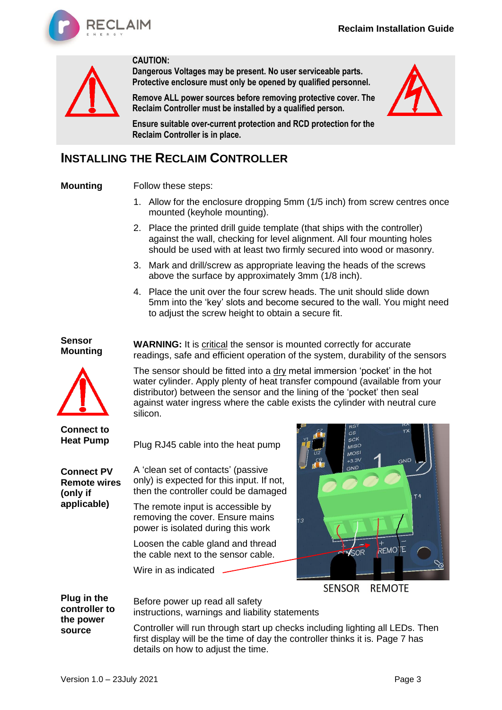

**CAUTION:**



**Dangerous Voltages may be present. No user serviceable parts. Protective enclosure must only be opened by qualified personnel.**

**Remove ALL power sources before removing protective cover. The Reclaim Controller must be installed by a qualified person.**



**Ensure suitable over-current protection and RCD protection for the Reclaim Controller is in place.**

## **INSTALLING THE RECLAIM CONTROLLER**

#### **Mounting**  Follow these steps:

- 1. Allow for the enclosure dropping 5mm (1/5 inch) from screw centres once mounted (keyhole mounting).
- 2. Place the printed drill guide template (that ships with the controller) against the wall, checking for level alignment. All four mounting holes should be used with at least two firmly secured into wood or masonry.
- 3. Mark and drill/screw as appropriate leaving the heads of the screws above the surface by approximately 3mm (1/8 inch).

**WARNING:** It is critical the sensor is mounted correctly for accurate

4. Place the unit over the four screw heads. The unit should slide down 5mm into the 'key' slots and become secured to the wall. You might need to adjust the screw height to obtain a secure fit.

readings, safe and efficient operation of the system, durability of the sensors

The sensor should be fitted into a dry metal immersion 'pocket' in the hot water cylinder. Apply plenty of heat transfer compound (available from your distributor) between the sensor and the lining of the 'pocket' then seal against water ingress where the cable exists the cylinder with neutral cure

#### **Sensor Mounting**



**Connect to Heat Pump**

**Connect PV Remote wires (only if applicable)** A 'clean set of contacts' (passive only) is expected for this input. If not, then the controller could be damaged

silicon.

The remote input is accessible by removing the cover. Ensure mains power is isolated during this work

Plug RJ45 cable into the heat pump

Loosen the cable gland and thread the cable next to the sensor cable.

Wire in as indicated



#### **SENSOR REMOTE**

**Plug in the controller to the power source**  Before power up read all safety instructions, warnings and liability statements Controller will run through start up checks including lighting all LEDs. Then first display will be the time of day the controller thinks it is. Page 7 has details on how to adjust the time.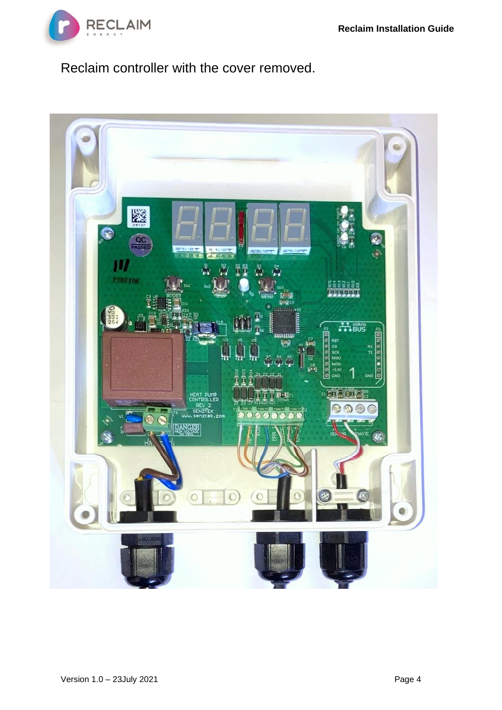

# Reclaim controller with the cover removed.

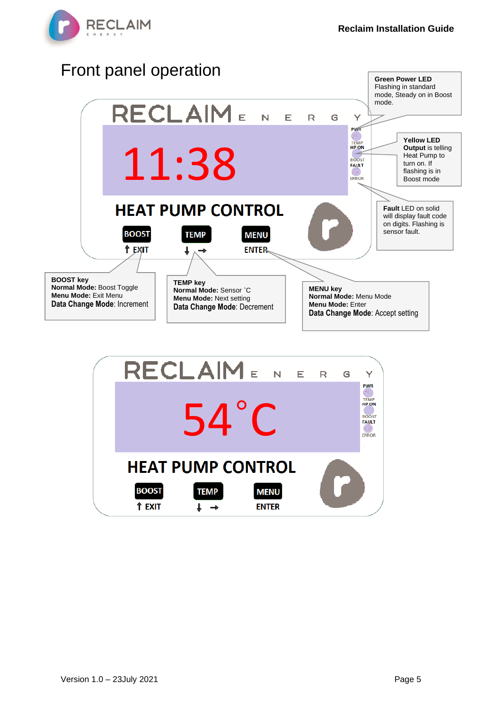



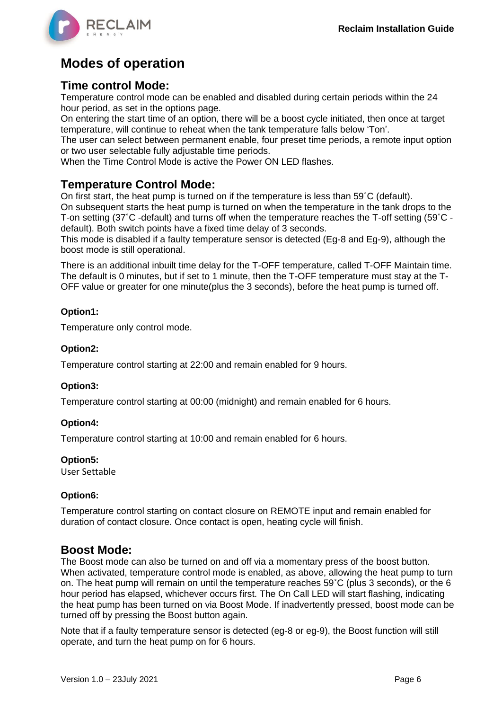

# **Modes of operation**

#### **Time control Mode:**

Temperature control mode can be enabled and disabled during certain periods within the 24 hour period, as set in the options page.

On entering the start time of an option, there will be a boost cycle initiated, then once at target temperature, will continue to reheat when the tank temperature falls below 'Ton'.

The user can select between permanent enable, four preset time periods, a remote input option or two user selectable fully adjustable time periods.

When the Time Control Mode is active the Power ON LED flashes.

## **Temperature Control Mode:**

On first start, the heat pump is turned on if the temperature is less than 59˚C (default).

On subsequent starts the heat pump is turned on when the temperature in the tank drops to the T-on setting (37˚C -default) and turns off when the temperature reaches the T-off setting (59˚C default). Both switch points have a fixed time delay of 3 seconds.

This mode is disabled if a faulty temperature sensor is detected (Eg-8 and Eg-9), although the boost mode is still operational.

There is an additional inbuilt time delay for the T-OFF temperature, called T-OFF Maintain time. The default is 0 minutes, but if set to 1 minute, then the T-OFF temperature must stay at the T-OFF value or greater for one minute(plus the 3 seconds), before the heat pump is turned off.

#### **Option1:**

Temperature only control mode.

#### **Option2:**

Temperature control starting at 22:00 and remain enabled for 9 hours.

#### **Option3:**

Temperature control starting at 00:00 (midnight) and remain enabled for 6 hours.

#### **Option4:**

Temperature control starting at 10:00 and remain enabled for 6 hours.

#### **Option5:**

User Settable

#### **Option6:**

Temperature control starting on contact closure on REMOTE input and remain enabled for duration of contact closure. Once contact is open, heating cycle will finish.

#### **Boost Mode:**

The Boost mode can also be turned on and off via a momentary press of the boost button. When activated, temperature control mode is enabled, as above, allowing the heat pump to turn on. The heat pump will remain on until the temperature reaches 59˚C (plus 3 seconds), or the 6 hour period has elapsed, whichever occurs first. The On Call LED will start flashing, indicating the heat pump has been turned on via Boost Mode. If inadvertently pressed, boost mode can be turned off by pressing the Boost button again.

Note that if a faulty temperature sensor is detected (eg-8 or eg-9), the Boost function will still operate, and turn the heat pump on for 6 hours.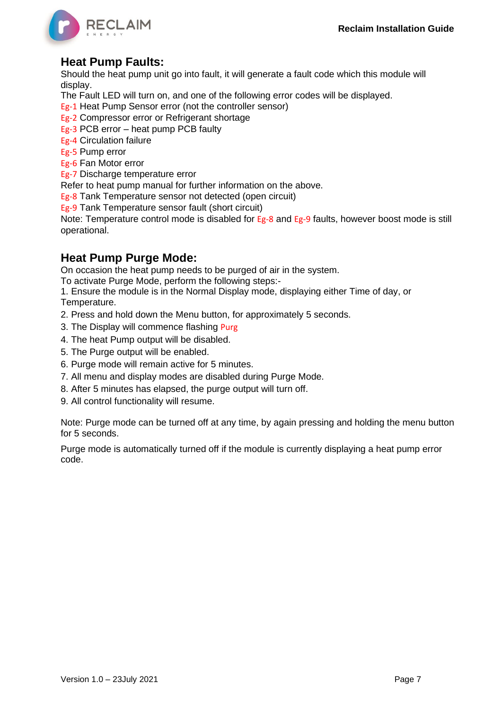

## **Heat Pump Faults:**

Should the heat pump unit go into fault, it will generate a fault code which this module will display.

- The Fault LED will turn on, and one of the following error codes will be displayed.
- Eg-1 Heat Pump Sensor error (not the controller sensor)
- Eg-2 Compressor error or Refrigerant shortage
- Eg-3 PCB error heat pump PCB faulty
- Eg-4 Circulation failure
- Eg-5 Pump error
- Eg-6 Fan Motor error
- Eg-7 Discharge temperature error
- Refer to heat pump manual for further information on the above.
- Eg-8 Tank Temperature sensor not detected (open circuit)
- Eg-9 Tank Temperature sensor fault (short circuit)

Note: Temperature control mode is disabled for Eg-8 and Eg-9 faults, however boost mode is still operational.

### **Heat Pump Purge Mode:**

On occasion the heat pump needs to be purged of air in the system.

To activate Purge Mode, perform the following steps:-

1. Ensure the module is in the Normal Display mode, displaying either Time of day, or Temperature.

- 2. Press and hold down the Menu button, for approximately 5 seconds.
- 3. The Display will commence flashing Purg
- 4. The heat Pump output will be disabled.
- 5. The Purge output will be enabled.
- 6. Purge mode will remain active for 5 minutes.
- 7. All menu and display modes are disabled during Purge Mode.
- 8. After 5 minutes has elapsed, the purge output will turn off.
- 9. All control functionality will resume.

Note: Purge mode can be turned off at any time, by again pressing and holding the menu button for 5 seconds.

Purge mode is automatically turned off if the module is currently displaying a heat pump error code.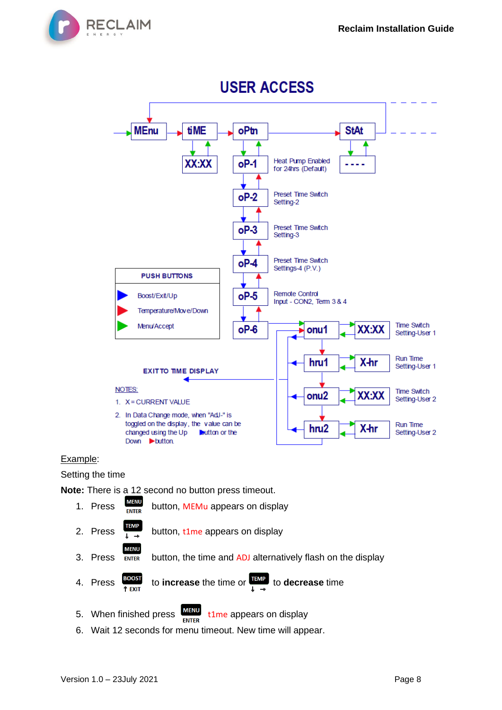



#### Example:

Setting the time

**Note:** There is a 12 second no button press timeout.

| 1. Press                    | <b>MENU</b><br><b>ENTER</b> | button, MEMu appears on display                                                                                                          |
|-----------------------------|-----------------------------|------------------------------------------------------------------------------------------------------------------------------------------|
| 2. Press $\frac{TEMP}{1+P}$ |                             | button, t1me appears on display                                                                                                          |
| 3. Press                    | <b>MENU</b><br><b>ENTER</b> | button, the time and ADJ alternatively flash on the display                                                                              |
|                             |                             | 4. Press $\frac{12005T}{T_{\text{EXIT}}}$ to <b>increase</b> the time or $\frac{T_{\text{EMP}}}{T_{\text{EMP}}}$ to <b>decrease</b> time |
|                             |                             | 5. When finished press $\frac{\text{MENU}}{\text{MENU}}$ t1me appears on display<br><b>CAITED</b>                                        |

6. Wait 12 seconds for menu timeout. New time will appear.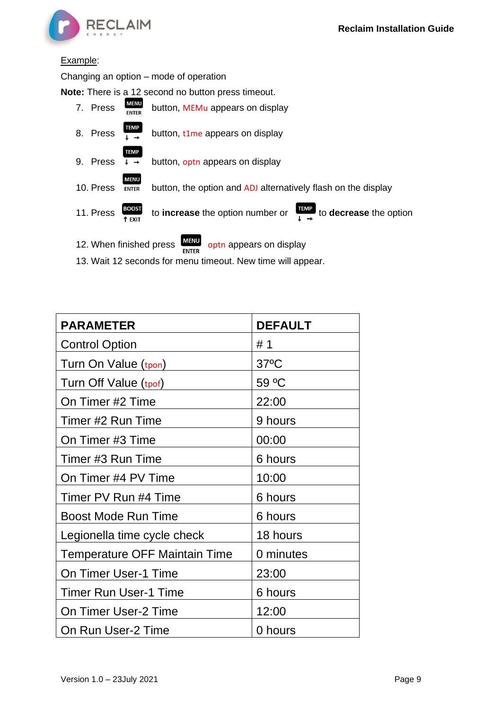

#### Example:

Changing an option – mode of operation

**Note:** There is a 12 second no button press timeout.

|                         |                                           | <b>ENTER</b>                                                              |
|-------------------------|-------------------------------------------|---------------------------------------------------------------------------|
| 12. When finished press |                                           | <b>MENU</b><br>optn appears on display                                    |
| 11. Press               | <b>BOOST</b><br><sup>†</sup> EXIT         | <b>TEMP</b><br>to increase the option number or<br>to decrease the option |
| 10. Press               | <b>MENU</b><br><b>ENTER</b>               | button, the option and ADJ alternatively flash on the display             |
| 9. Press                | <b>TEMP</b><br>$\downarrow$ $\rightarrow$ | button, opth appears on display                                           |
| 8. Press                | TEMP                                      | button, t1me appears on display                                           |
| 7. Press                | <b>MENU</b><br><b>ENTER</b>               | button, MEMu appears on display                                           |

13. Wait 12 seconds for menu timeout. New time will appear.

| <b>PARAMETER</b>                     | <b>DEFAULT</b> |
|--------------------------------------|----------------|
| <b>Control Option</b>                | # 1            |
| Turn On Value (tpon)                 | $37^{\circ}$ C |
| Turn Off Value (tpof)                | 59 °C          |
| On Timer #2 Time                     | 22:00          |
| Timer #2 Run Time                    | 9 hours        |
| On Timer #3 Time                     | 00:00          |
| Timer #3 Run Time                    | 6 hours        |
| On Timer #4 PV Time                  | 10:00          |
| Timer PV Run #4 Time                 | 6 hours        |
| <b>Boost Mode Run Time</b>           | 6 hours        |
| Legionella time cycle check          | 18 hours       |
| <b>Temperature OFF Maintain Time</b> | 0 minutes      |
| On Timer User-1 Time                 | 23:00          |
| <b>Timer Run User-1 Time</b>         | 6 hours        |
| On Timer User-2 Time                 | 12:00          |
| On Run User-2 Time                   | 0 hours        |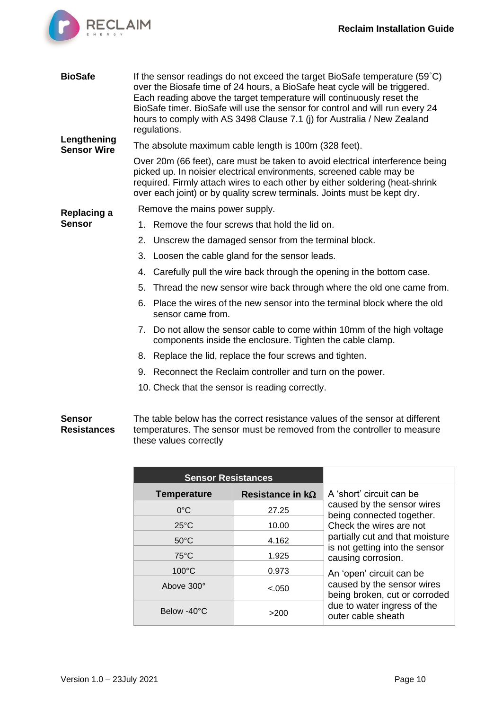

| <b>BioSafe</b>                    | If the sensor readings do not exceed the target BioSafe temperature (59 $^{\circ}$ C)<br>over the Biosafe time of 24 hours, a BioSafe heat cycle will be triggered.<br>Each reading above the target temperature will continuously reset the<br>BioSafe timer. BioSafe will use the sensor for control and will run every 24<br>hours to comply with AS 3498 Clause 7.1 (i) for Australia / New Zealand<br>regulations. |  |
|-----------------------------------|-------------------------------------------------------------------------------------------------------------------------------------------------------------------------------------------------------------------------------------------------------------------------------------------------------------------------------------------------------------------------------------------------------------------------|--|
| Lengthening<br><b>Sensor Wire</b> | The absolute maximum cable length is 100m (328 feet).                                                                                                                                                                                                                                                                                                                                                                   |  |
|                                   | Over 20m (66 feet), care must be taken to avoid electrical interference being<br>picked up. In noisier electrical environments, screened cable may be<br>required. Firmly attach wires to each other by either soldering (heat-shrink<br>over each joint) or by quality screw terminals. Joints must be kept dry.                                                                                                       |  |
| Replacing a                       | Remove the mains power supply.                                                                                                                                                                                                                                                                                                                                                                                          |  |
| <b>Sensor</b>                     | 1. Remove the four screws that hold the lid on.                                                                                                                                                                                                                                                                                                                                                                         |  |
|                                   | 2. Unscrew the damaged sensor from the terminal block.                                                                                                                                                                                                                                                                                                                                                                  |  |
|                                   | Loosen the cable gland for the sensor leads.<br>3.                                                                                                                                                                                                                                                                                                                                                                      |  |
|                                   | Carefully pull the wire back through the opening in the bottom case.<br>4.                                                                                                                                                                                                                                                                                                                                              |  |
|                                   | 5.<br>Thread the new sensor wire back through where the old one came from.                                                                                                                                                                                                                                                                                                                                              |  |
|                                   | Place the wires of the new sensor into the terminal block where the old<br>6.<br>sensor came from.                                                                                                                                                                                                                                                                                                                      |  |
|                                   | 7. Do not allow the sensor cable to come within 10mm of the high voltage<br>components inside the enclosure. Tighten the cable clamp.                                                                                                                                                                                                                                                                                   |  |
|                                   | 8. Replace the lid, replace the four screws and tighten.                                                                                                                                                                                                                                                                                                                                                                |  |
|                                   | 9. Reconnect the Reclaim controller and turn on the power.                                                                                                                                                                                                                                                                                                                                                              |  |
|                                   | 10. Check that the sensor is reading correctly.                                                                                                                                                                                                                                                                                                                                                                         |  |
| Cancar                            | The table below has the correct resistance values of the sensor of different                                                                                                                                                                                                                                                                                                                                            |  |

#### **Sensor Resistances** The table below has the correct resistance values of the sensor at different temperatures. The sensor must be removed from the controller to measure these values correctly

| <b>Sensor Resistances</b> |                         |                                                             |
|---------------------------|-------------------------|-------------------------------------------------------------|
| <b>Temperature</b>        | Resistance in $k\Omega$ | A 'short' circuit can be                                    |
| $0^{\circ}$ C             | 27.25                   | caused by the sensor wires<br>being connected together.     |
| $25^{\circ}$ C            | 10.00                   | Check the wires are not                                     |
| $50^{\circ}$ C            | 4.162                   | partially cut and that moisture                             |
| $75^{\circ}$ C            | 1.925                   | is not getting into the sensor<br>causing corrosion.        |
| $100^{\circ}$ C           | 0.973                   | An 'open' circuit can be                                    |
| Above 300°                | $-.050$                 | caused by the sensor wires<br>being broken, cut or corroded |
| Below -40°C               | >200                    | due to water ingress of the<br>outer cable sheath           |